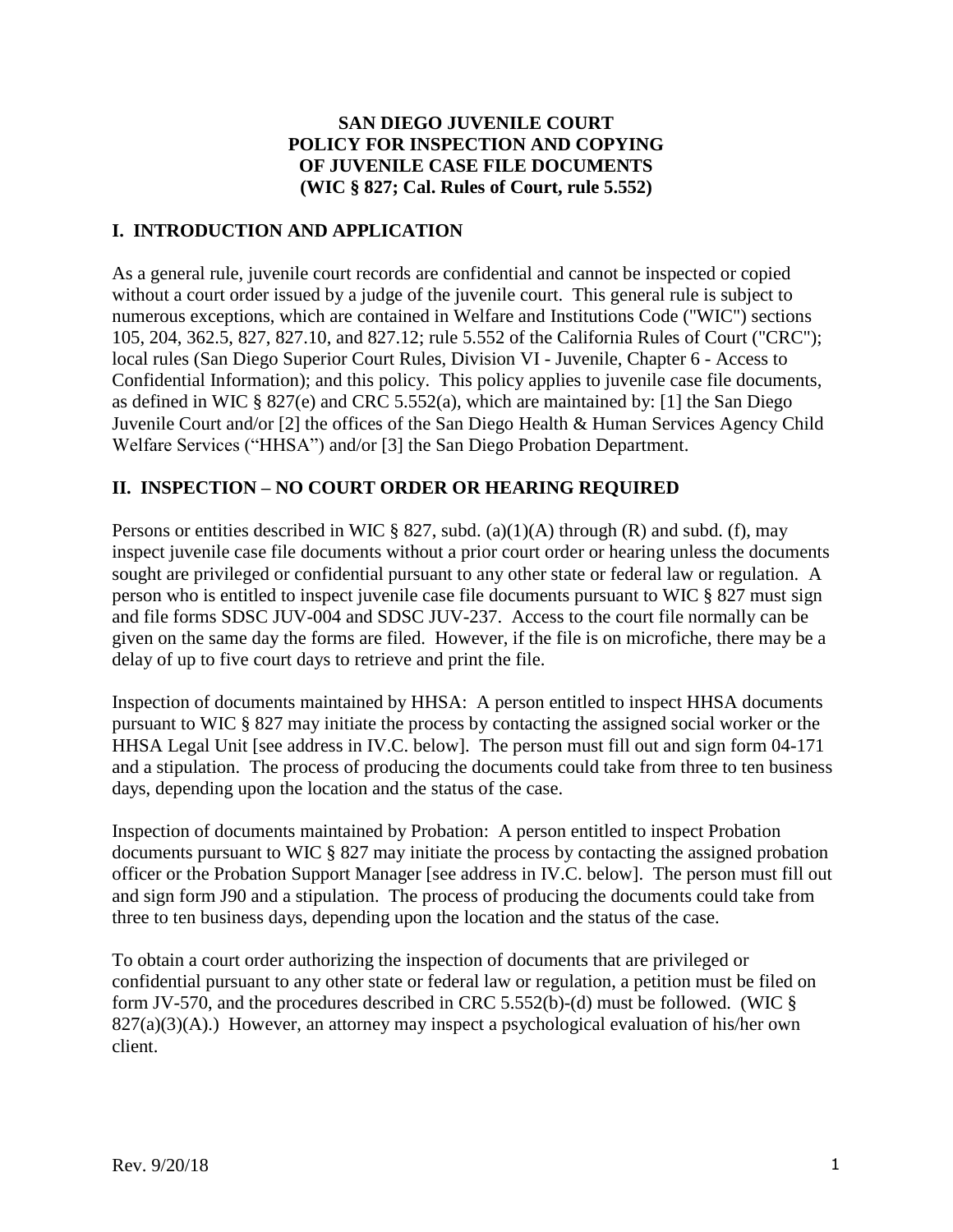#### **SAN DIEGO JUVENILE COURT POLICY FOR INSPECTION AND COPYING OF JUVENILE CASE FILE DOCUMENTS (WIC § 827; Cal. Rules of Court, rule 5.552)**

# **I. INTRODUCTION AND APPLICATION**

As a general rule, juvenile court records are confidential and cannot be inspected or copied without a court order issued by a judge of the juvenile court. This general rule is subject to numerous exceptions, which are contained in Welfare and Institutions Code ("WIC") sections 105, 204, 362.5, 827, 827.10, and 827.12; rule 5.552 of the California Rules of Court ("CRC"); local rules (San Diego Superior Court Rules, Division VI - Juvenile, Chapter 6 - Access to Confidential Information); and this policy. This policy applies to juvenile case file documents, as defined in WIC § 827(e) and CRC 5.552(a), which are maintained by: [1] the San Diego Juvenile Court and/or [2] the offices of the San Diego Health & Human Services Agency Child Welfare Services ("HHSA") and/or [3] the San Diego Probation Department.

# **II. INSPECTION – NO COURT ORDER OR HEARING REQUIRED**

Persons or entities described in WIC  $\S 827$ , subd. (a)(1)(A) through (R) and subd. (f), may inspect juvenile case file documents without a prior court order or hearing unless the documents sought are privileged or confidential pursuant to any other state or federal law or regulation. A person who is entitled to inspect juvenile case file documents pursuant to WIC § 827 must sign and file forms SDSC JUV-004 and SDSC JUV-237. Access to the court file normally can be given on the same day the forms are filed. However, if the file is on microfiche, there may be a delay of up to five court days to retrieve and print the file.

Inspection of documents maintained by HHSA: A person entitled to inspect HHSA documents pursuant to WIC § 827 may initiate the process by contacting the assigned social worker or the HHSA Legal Unit [see address in IV.C. below]. The person must fill out and sign form 04-171 and a stipulation. The process of producing the documents could take from three to ten business days, depending upon the location and the status of the case.

Inspection of documents maintained by Probation: A person entitled to inspect Probation documents pursuant to WIC § 827 may initiate the process by contacting the assigned probation officer or the Probation Support Manager [see address in IV.C. below]. The person must fill out and sign form J90 and a stipulation. The process of producing the documents could take from three to ten business days, depending upon the location and the status of the case.

To obtain a court order authorizing the inspection of documents that are privileged or confidential pursuant to any other state or federal law or regulation, a petition must be filed on form JV-570, and the procedures described in CRC 5.552(b)-(d) must be followed. (WIC  $\S$  $827(a)(3)(A)$ .) However, an attorney may inspect a psychological evaluation of his/her own client.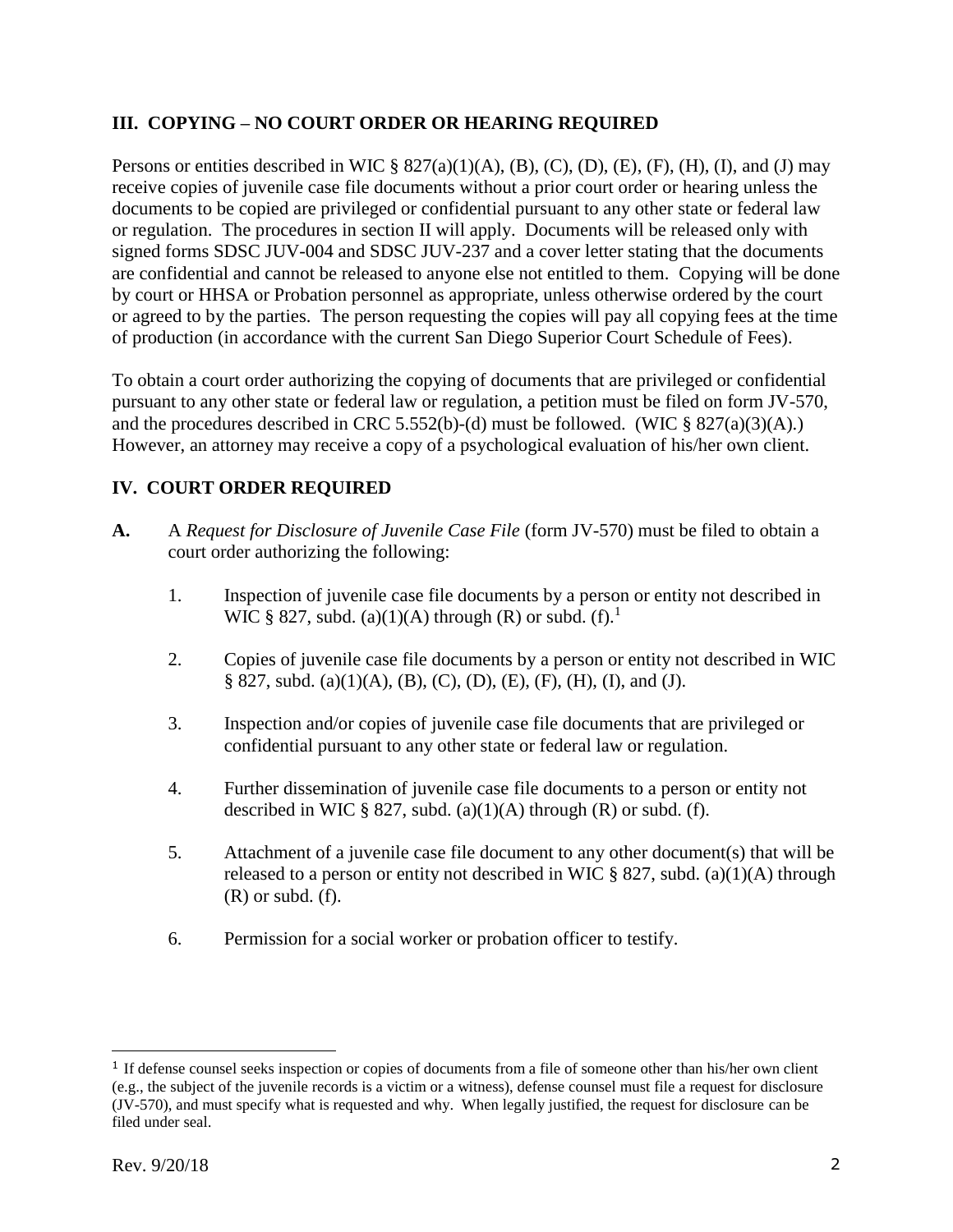### **III. COPYING – NO COURT ORDER OR HEARING REQUIRED**

Persons or entities described in WIC  $\S 827(a)(1)(A)$ , (B), (C), (D), (E), (F), (H), (I), and (J) may receive copies of juvenile case file documents without a prior court order or hearing unless the documents to be copied are privileged or confidential pursuant to any other state or federal law or regulation. The procedures in section II will apply. Documents will be released only with signed forms SDSC JUV-004 and SDSC JUV-237 and a cover letter stating that the documents are confidential and cannot be released to anyone else not entitled to them. Copying will be done by court or HHSA or Probation personnel as appropriate, unless otherwise ordered by the court or agreed to by the parties. The person requesting the copies will pay all copying fees at the time of production (in accordance with the current San Diego Superior Court Schedule of Fees).

To obtain a court order authorizing the copying of documents that are privileged or confidential pursuant to any other state or federal law or regulation, a petition must be filed on form JV-570, and the procedures described in CRC 5.552(b)-(d) must be followed. (WIC  $\S 827(a)(3)(A)$ .) However, an attorney may receive a copy of a psychological evaluation of his/her own client.

# **IV. COURT ORDER REQUIRED**

- **A.** A *Request for Disclosure of Juvenile Case File* (form JV-570) must be filed to obtain a court order authorizing the following:
	- 1. Inspection of juvenile case file documents by a person or entity not described in WIC § 827, subd. (a)(1)(A) through (R) or subd.  $(f)$ .<sup>1</sup>
	- 2. Copies of juvenile case file documents by a person or entity not described in WIC § 827, subd. (a)(1)(A), (B), (C), (D), (E), (F), (H), (I), and (J).
	- 3. Inspection and/or copies of juvenile case file documents that are privileged or confidential pursuant to any other state or federal law or regulation.
	- 4. Further dissemination of juvenile case file documents to a person or entity not described in WIC § 827, subd. (a)(1)(A) through  $(R)$  or subd. (f).
	- 5. Attachment of a juvenile case file document to any other document(s) that will be released to a person or entity not described in WIC  $\S$  827, subd. (a)(1)(A) through  $(R)$  or subd.  $(f)$ .
	- 6. Permission for a social worker or probation officer to testify.

<sup>&</sup>lt;sup>1</sup> If defense counsel seeks inspection or copies of documents from a file of someone other than his/her own client (e.g., the subject of the juvenile records is a victim or a witness), defense counsel must file a request for disclosure (JV-570), and must specify what is requested and why. When legally justified, the request for disclosure can be filed under seal.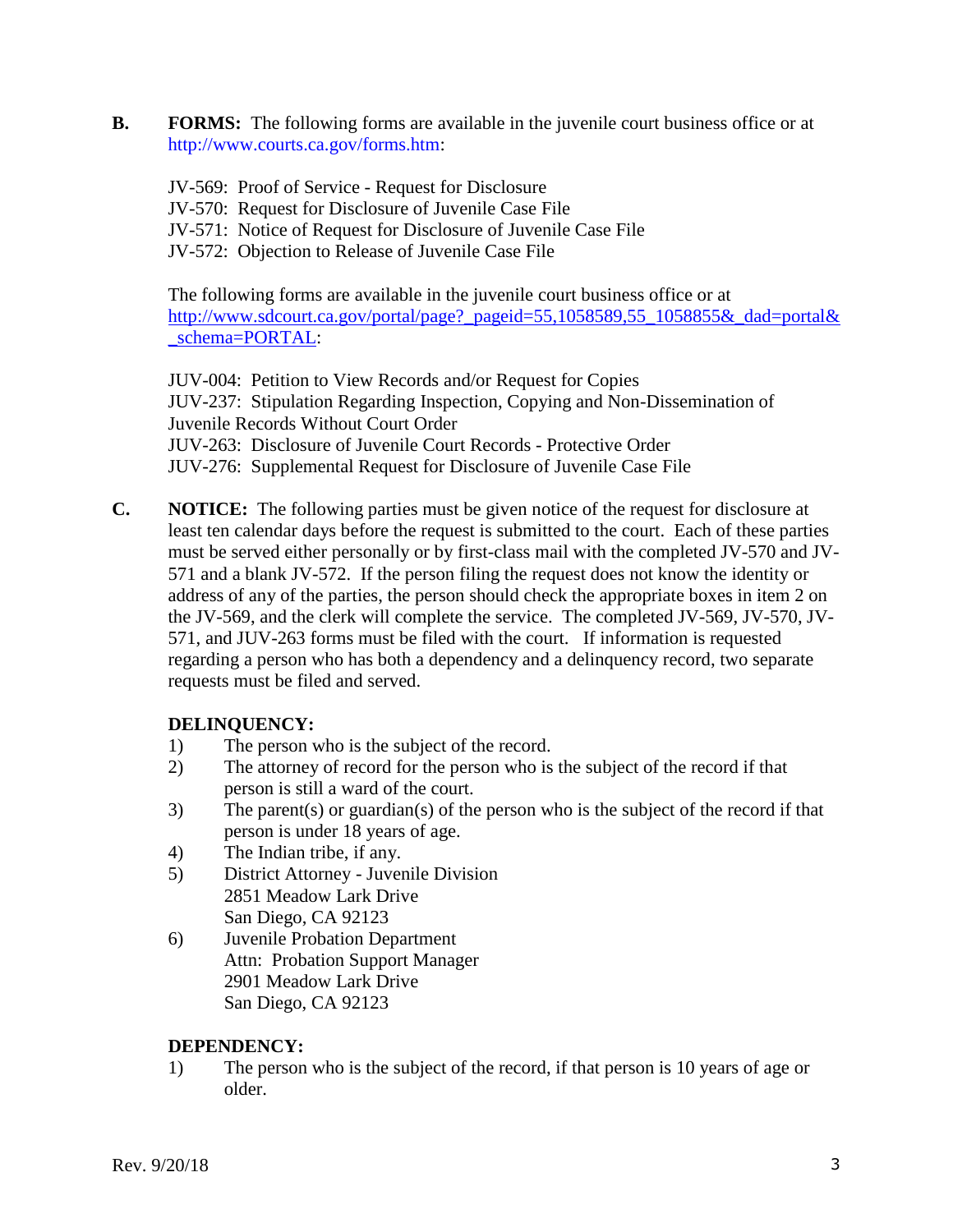- **B. FORMS:** The following forms are available in the juvenile court business office or at [http://www.courts.ca.gov/forms.htm:](http://www.courts.ca.gov/forms.htm)
	- JV-569: Proof of Service Request for Disclosure
	- JV-570: Request for Disclosure of Juvenile Case File
	- JV-571: Notice of Request for Disclosure of Juvenile Case File
	- JV-572: Objection to Release of Juvenile Case File

The following forms are available in the juvenile court business office or at [http://www.sdcourt.ca.gov/portal/page?\\_pageid=55,1058589,55\\_1058855&\\_dad=portal&](http://www.sdcourt.ca.gov/portal/page?_pageid=55,1058589,55_1058855&_dad=portal&_schema=PORTAL) [\\_schema=PORTAL:](http://www.sdcourt.ca.gov/portal/page?_pageid=55,1058589,55_1058855&_dad=portal&_schema=PORTAL)

JUV-004: Petition to View Records and/or Request for Copies JUV-237: Stipulation Regarding Inspection, Copying and Non-Dissemination of Juvenile Records Without Court Order JUV-263: Disclosure of Juvenile Court Records - Protective Order JUV-276: Supplemental Request for Disclosure of Juvenile Case File

**C. NOTICE:** The following parties must be given notice of the request for disclosure at least ten calendar days before the request is submitted to the court. Each of these parties must be served either personally or by first-class mail with the completed JV-570 and JV-571 and a blank JV-572. If the person filing the request does not know the identity or address of any of the parties, the person should check the appropriate boxes in item 2 on the JV-569, and the clerk will complete the service. The completed JV-569, JV-570, JV-571, and JUV-263 forms must be filed with the court. If information is requested regarding a person who has both a dependency and a delinquency record, two separate requests must be filed and served.

#### **DELINQUENCY:**

- 1) The person who is the subject of the record.
- 2) The attorney of record for the person who is the subject of the record if that person is still a ward of the court.
- 3) The parent(s) or guardian(s) of the person who is the subject of the record if that person is under 18 years of age.
- 4) The Indian tribe, if any.
- 5) District Attorney Juvenile Division 2851 Meadow Lark Drive San Diego, CA 92123
- 6) Juvenile Probation Department Attn: Probation Support Manager 2901 Meadow Lark Drive San Diego, CA 92123

#### **DEPENDENCY:**

1) The person who is the subject of the record, if that person is 10 years of age or older.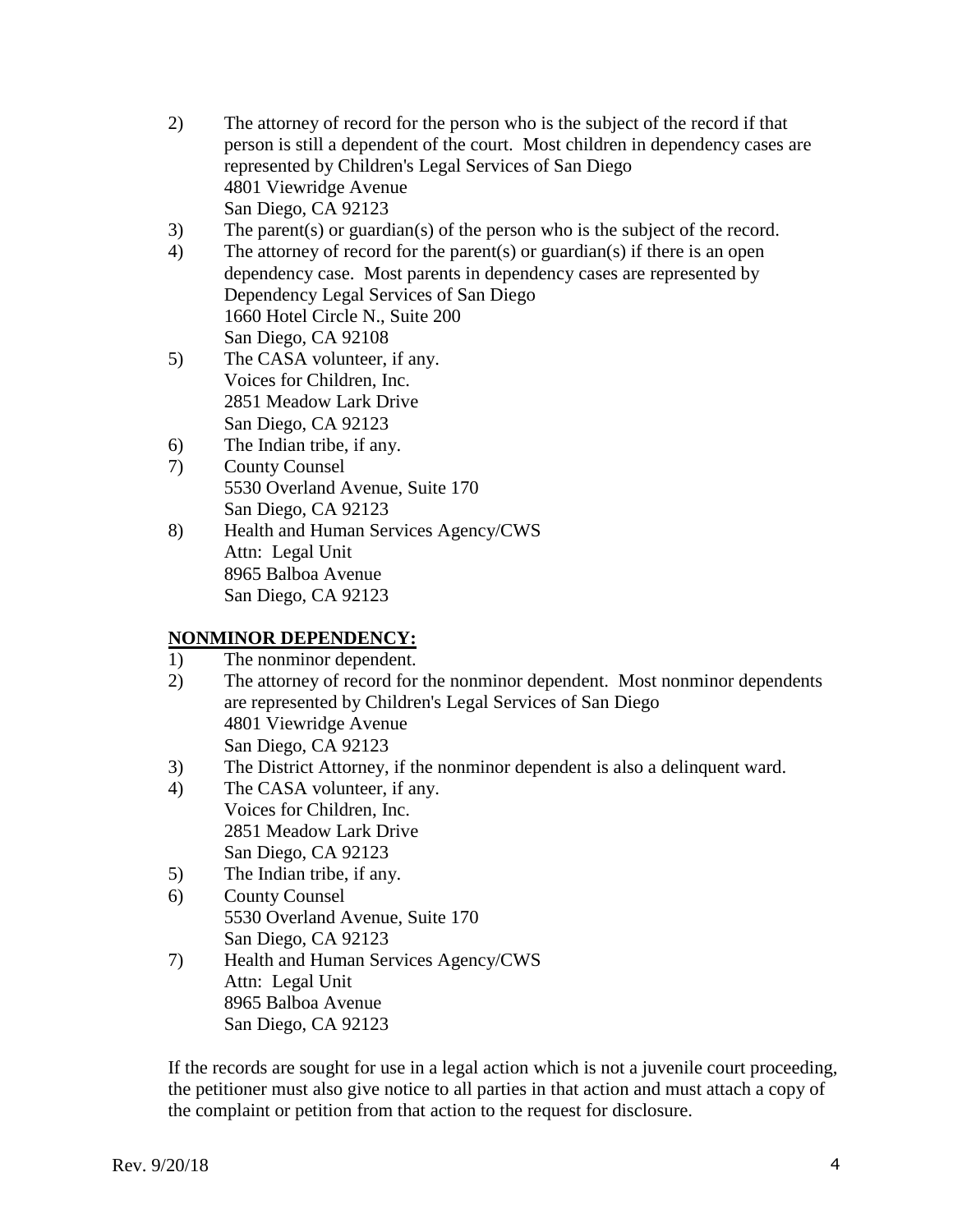- 2) The attorney of record for the person who is the subject of the record if that person is still a dependent of the court. Most children in dependency cases are represented by Children's Legal Services of San Diego 4801 Viewridge Avenue San Diego, CA 92123
- 3) The parent(s) or guardian(s) of the person who is the subject of the record.
- 4) The attorney of record for the parent(s) or guardian(s) if there is an open dependency case. Most parents in dependency cases are represented by Dependency Legal Services of San Diego 1660 Hotel Circle N., Suite 200 San Diego, CA 92108
- 5) The CASA volunteer, if any. Voices for Children, Inc. 2851 Meadow Lark Drive San Diego, CA 92123
- 6) The Indian tribe, if any.
- 7) County Counsel 5530 Overland Avenue, Suite 170 San Diego, CA 92123
- 8) Health and Human Services Agency/CWS Attn: Legal Unit 8965 Balboa Avenue San Diego, CA 92123

# **NONMINOR DEPENDENCY:**

- 1) The nonminor dependent.
- 2) The attorney of record for the nonminor dependent. Most nonminor dependents are represented by Children's Legal Services of San Diego 4801 Viewridge Avenue San Diego, CA 92123
- 3) The District Attorney, if the nonminor dependent is also a delinquent ward.
- 4) The CASA volunteer, if any. Voices for Children, Inc. 2851 Meadow Lark Drive San Diego, CA 92123
- 5) The Indian tribe, if any.
- 6) County Counsel 5530 Overland Avenue, Suite 170 San Diego, CA 92123
- 7) Health and Human Services Agency/CWS Attn: Legal Unit 8965 Balboa Avenue San Diego, CA 92123

If the records are sought for use in a legal action which is not a juvenile court proceeding, the petitioner must also give notice to all parties in that action and must attach a copy of the complaint or petition from that action to the request for disclosure.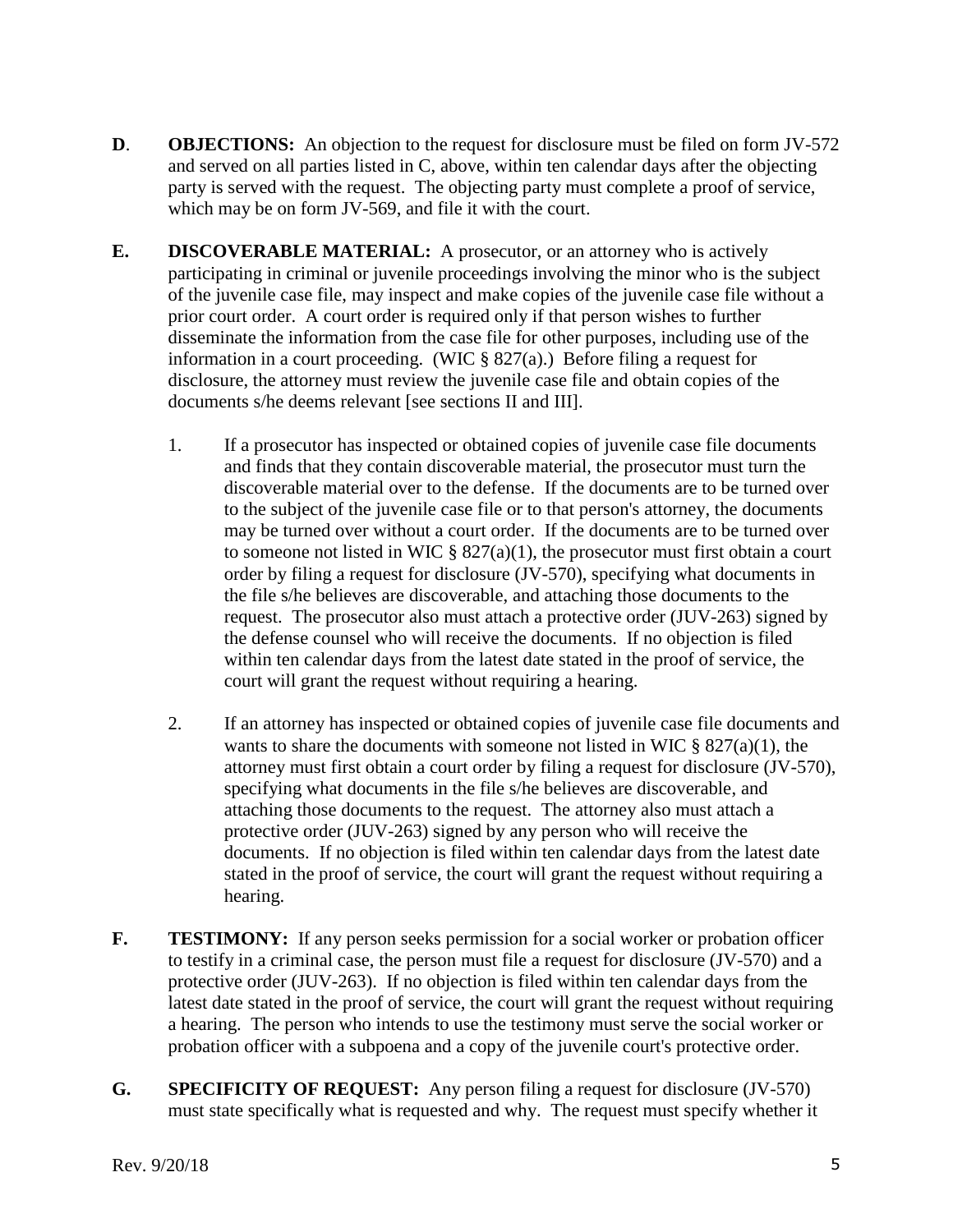- **D. OBJECTIONS:** An objection to the request for disclosure must be filed on form JV-572 and served on all parties listed in C, above, within ten calendar days after the objecting party is served with the request. The objecting party must complete a proof of service, which may be on form JV-569, and file it with the court.
- **E. DISCOVERABLE MATERIAL:** A prosecutor, or an attorney who is actively participating in criminal or juvenile proceedings involving the minor who is the subject of the juvenile case file, may inspect and make copies of the juvenile case file without a prior court order. A court order is required only if that person wishes to further disseminate the information from the case file for other purposes, including use of the information in a court proceeding. (WIC § 827(a).) Before filing a request for disclosure, the attorney must review the juvenile case file and obtain copies of the documents s/he deems relevant [see sections II and III].
	- 1. If a prosecutor has inspected or obtained copies of juvenile case file documents and finds that they contain discoverable material, the prosecutor must turn the discoverable material over to the defense. If the documents are to be turned over to the subject of the juvenile case file or to that person's attorney, the documents may be turned over without a court order. If the documents are to be turned over to someone not listed in WIC  $\S 827(a)(1)$ , the prosecutor must first obtain a court order by filing a request for disclosure (JV-570), specifying what documents in the file s/he believes are discoverable, and attaching those documents to the request. The prosecutor also must attach a protective order (JUV-263) signed by the defense counsel who will receive the documents. If no objection is filed within ten calendar days from the latest date stated in the proof of service, the court will grant the request without requiring a hearing.
	- 2. If an attorney has inspected or obtained copies of juvenile case file documents and wants to share the documents with someone not listed in WIC  $\S 827(a)(1)$ , the attorney must first obtain a court order by filing a request for disclosure (JV-570), specifying what documents in the file s/he believes are discoverable, and attaching those documents to the request. The attorney also must attach a protective order (JUV-263) signed by any person who will receive the documents. If no objection is filed within ten calendar days from the latest date stated in the proof of service, the court will grant the request without requiring a hearing.
- **F. TESTIMONY:** If any person seeks permission for a social worker or probation officer to testify in a criminal case, the person must file a request for disclosure (JV-570) and a protective order (JUV-263). If no objection is filed within ten calendar days from the latest date stated in the proof of service, the court will grant the request without requiring a hearing. The person who intends to use the testimony must serve the social worker or probation officer with a subpoena and a copy of the juvenile court's protective order.
- **G. SPECIFICITY OF REQUEST:** Any person filing a request for disclosure (JV-570) must state specifically what is requested and why. The request must specify whether it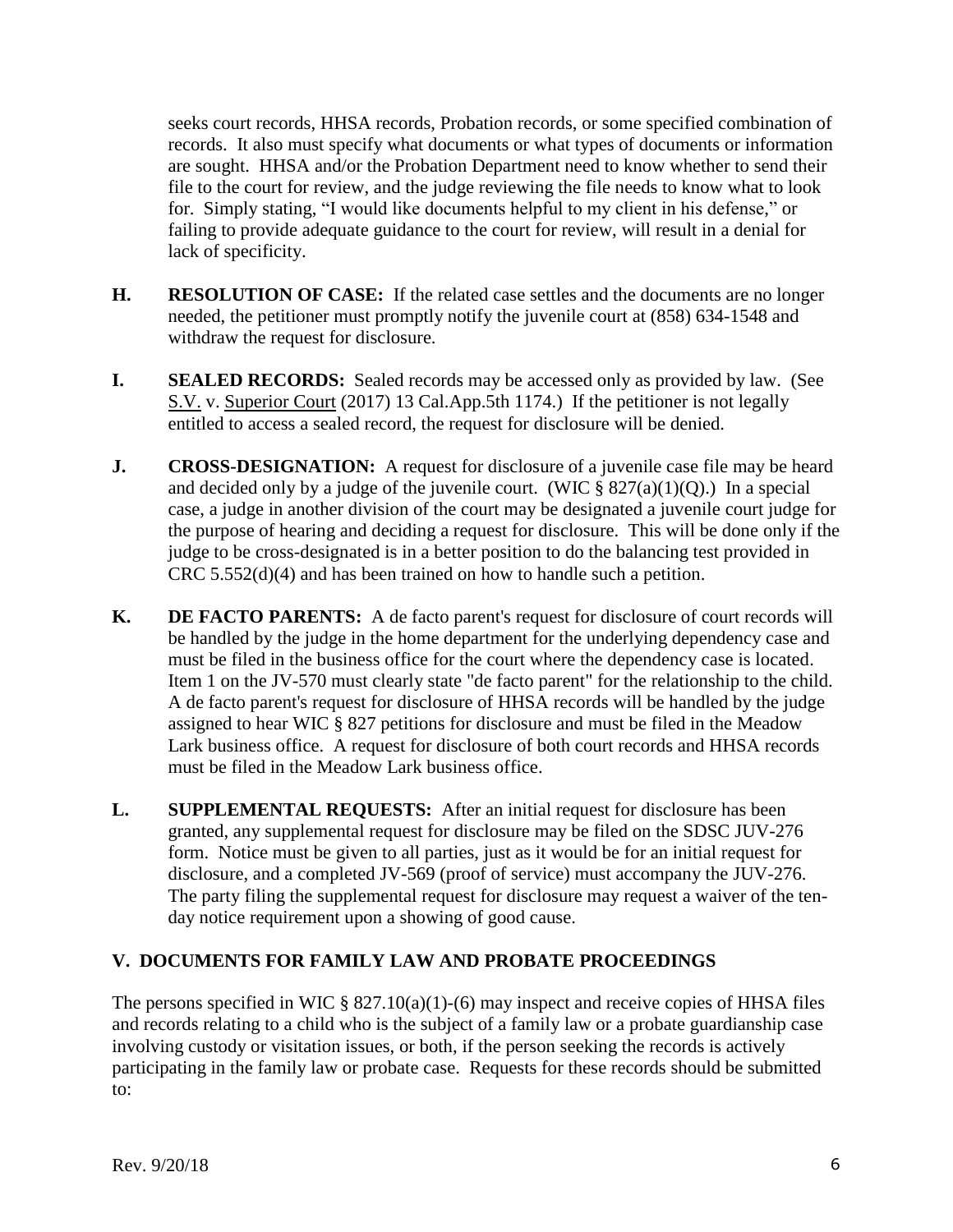seeks court records, HHSA records, Probation records, or some specified combination of records. It also must specify what documents or what types of documents or information are sought. HHSA and/or the Probation Department need to know whether to send their file to the court for review, and the judge reviewing the file needs to know what to look for. Simply stating, "I would like documents helpful to my client in his defense," or failing to provide adequate guidance to the court for review, will result in a denial for lack of specificity.

- **H. RESOLUTION OF CASE:** If the related case settles and the documents are no longer needed, the petitioner must promptly notify the juvenile court at (858) 634-1548 and withdraw the request for disclosure.
- **I. SEALED RECORDS:** Sealed records may be accessed only as provided by law. (See S.V. v. Superior Court (2017) 13 Cal.App.5th 1174.) If the petitioner is not legally entitled to access a sealed record, the request for disclosure will be denied.
- **J. CROSS-DESIGNATION:** A request for disclosure of a juvenile case file may be heard and decided only by a judge of the juvenile court. (WIC  $\S 827(a)(1)(Q)$ .) In a special case, a judge in another division of the court may be designated a juvenile court judge for the purpose of hearing and deciding a request for disclosure. This will be done only if the judge to be cross-designated is in a better position to do the balancing test provided in CRC 5.552(d)(4) and has been trained on how to handle such a petition.
- **K. DE FACTO PARENTS:** A de facto parent's request for disclosure of court records will be handled by the judge in the home department for the underlying dependency case and must be filed in the business office for the court where the dependency case is located. Item 1 on the JV-570 must clearly state "de facto parent" for the relationship to the child. A de facto parent's request for disclosure of HHSA records will be handled by the judge assigned to hear WIC § 827 petitions for disclosure and must be filed in the Meadow Lark business office. A request for disclosure of both court records and HHSA records must be filed in the Meadow Lark business office.
- **L. SUPPLEMENTAL REQUESTS:** After an initial request for disclosure has been granted, any supplemental request for disclosure may be filed on the SDSC JUV-276 form. Notice must be given to all parties, just as it would be for an initial request for disclosure, and a completed JV-569 (proof of service) must accompany the JUV-276. The party filing the supplemental request for disclosure may request a waiver of the tenday notice requirement upon a showing of good cause.

#### **V. DOCUMENTS FOR FAMILY LAW AND PROBATE PROCEEDINGS**

The persons specified in WIC  $\S 827.10(a)(1)$ -(6) may inspect and receive copies of HHSA files and records relating to a child who is the subject of a family law or a probate guardianship case involving custody or visitation issues, or both, if the person seeking the records is actively participating in the family law or probate case. Requests for these records should be submitted to: